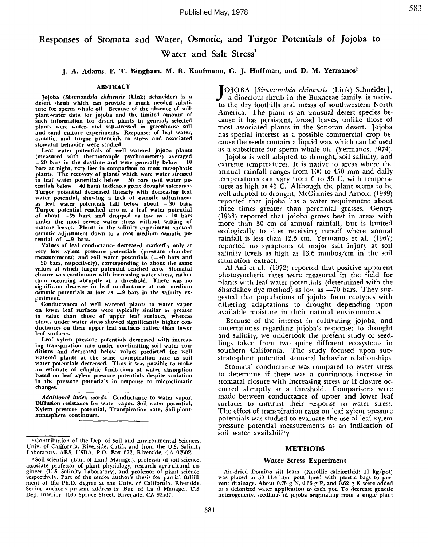# **Responses of Stomata and Water, Osmotic, and Turgor Potentials of Jojoba to** Water and Salt Stress<sup>1</sup>

# **j. A. Adams, F. T. Bingham, M. R. Kaufmann, G. J. Hoffman, and D. M. Yermanos 2**

### ABSTRACT

Jo]oba *(Simmondsia chinensls* (Link) Schneider) is desert shrub which can provide a much needed subs tute for sperm whale oil. Because of the absence of soilplant-water data for ]o]oba and the limited **amount of** such information for desert plants in general, selecte plants were water- and salt-stressed in greenhouse so and sand culture experiments. Responses of leaf water, osmotic, and turgor potentials to stress and associate stomatal behavior were studie

Leaf water potentials of well watered jojoba plants (measured with thermocouple psychrometers) average  $-20$  bars in the daytime and were generally below  $-10$ bars at night, very low in comparison to most mesophytic plants. The recovery of plants which were water stresse to leaf water potentials below -50 bars (soil water potentials below —40 bars) indicates great drought toleranc Turgot potential decreased linearly with decreasing leaf water potential, showing a lack of osmotic adjustmen as leaf water potentials fall below about ---30 bar Turgor potential reached zero at a leaf water potenti of about  $=35$  bars, and dropped as low as  $=10$  bar under the most severe water stress without wilting of mature leaves. Plants in the salinity experiment showed osmotic adjustment down to a root medium osmotic **po**tential of  $-9$  bars.

Values of leaf conductance decreased markedly only at very low xylem pressure potentials (pressure chamber measurements) and soil water potentials (—40 bars and --20 bars, respectively), corresponding to about the same values at which turgor potential reached zero. Stomata closure was continuous with increasing water stress, rather than occurring abruptly at a threshold. There was no significant decrease in leaf conductance at root medium osmotic potentials as low **as --9** bars in the salinity experiment.

Conductances of well watered plants to water vapor on lower leaf surfaces were typically similar or great in value than those of upper leaf surfaces, wherea plants under water stress showed significantly higher conductances on their upper leaf surfaces rather than lower leaf surfaces.

Leaf xylem pressure potentials decreased with **increasing** transpiration rate under non-limiting **soll water** conditions and decreased below values predicted for well watered plants at the same transpiration rate as so water potentials decreased. Thus it was possible to make **an** estimate of edaphic limitations of water **absorption** based on leaf xylem pressure potentials despite variation in the pressure potentials in response to microclimatic changes.

*Additional index words:* Conductance to water vapor, Diffusion resistance for water **vapor, Soil** water potential, Xylem pressure potential, Transpiration rate, Soil-plantatmosphere continuum.

**J**OJOBA *[Simmondsia chinensis* (Link) Schneider], a dioecious shrub in the Buxaceae family, is native to the dry foothills and mesas of southwestern North America. The plant is an unusual desert species because it has persistent, broad leaves, unlike those of most associated plants in the Sonoran desert. Jojoba has special interest as a possible commercial crop because the seeds contain a liquid wax which can be used as a substitute for sperm whale oil (Yermanos, 1974).

Jojoba is well adapted to drought, soil salinity, and extreme temperatures. It is native to areas where the annual rainfall ranges from 100 to 450 mm and daily temperatures can vary from 0 to 35 C, with temper tures as high as 45 C. Although the plant seems to be well adapted to drought, McGinnies and Arnold (1939) reported that jojoba has a water requirement about three times greater than perennial grasses. Gentry (1958) reported that jojoba grows best in areas with more than 30 cm of annual rainfall, but is limited ecologically to sites receiving runoff where annu rainfall is less than 12.5 cm. Yermanos et al. (196 reported no symptoms of major salt injury at soil salinity levels as high as 13.6 mmhos/cm in the soil saturation extract.

A1-Ani et al. (1972) reported that positive apparent photosynthetic rates were measured in the field for plants with leaf water potentials (determined with the Shardakov dye method) as low as  $-70$  bars. They suggested that populations of jojoba form ecotypes with differing adaptations to drought depending upon available moisture in their natural environments.

Because of the interest in cultivating jojoba, and uncertainties regarding jojoba's responses to drought and salinity, we undertook the present study of seedlings taken from two quite different ecosystems in southern California. The study focused upon substrate-plant potential stomatal behavior relationships.

Stomatal conductance was compared to water stress to determine if there was a continuous increase in stomatal closure with increasing stress or if closure occurred abruptly at a threshold. Comparisons were made between conductance of upper and lower leaf surfaces to contrast their response to water stress. The effect of transpiration rates on leaf xylem pressure potentials was studied to evaluate the use of leaf xylem pressure potential measurements as an indication of soil water availability.

#### METHODS

#### Water Stress Experiment

Air-dried Domino silt loam (Xerollic calciorthid: 11 kg/pot) was placed in 50 11.4-liter pots, lined with plastic bags to pre-<br>vent drainage. About 0.75 g N, 0.66 g P, and 0.62 g K were added in a deionized water application to each pot. To decrease genetic heterogeneity, seedlings of jojoba originating from a single plant

<sup>1</sup> Contribution of the Dep. of Soil and Environmental Sciences, Univ. of California, Riverside, Calif., and from the U.S. Salinit Laboratory, ARS, USDA, P.O. Box 672, Riverside, CA 92502.

<sup>2</sup> Soil scientist (Bur. of Land Manage.), professor of soil science, associate professor of plant physiology, research agricultural en-gineer (U.S. Salinity Laboratory), and professor of plant science, respectively. Part of the senior author's thesis for partial fulfi ment of the Ph.D. degree at the Univ. of California, Riverside. Senior author's present address is: Bur. of Land Manage., U.S. Dep. Interior, 1695 Spruce Street, Riverside, CA 92507.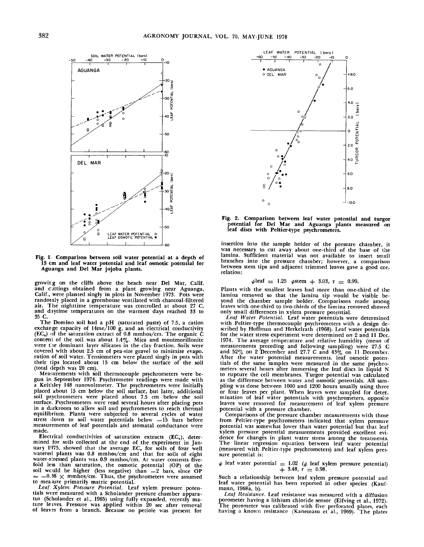

**Fig. 1, Comparison between soil water potential at a depth of 15 cm and leaf water potential and leaf osmotic potential for Aguanga and Del Mar jojoba plants.**

growirg on the cliffs above the beach near Del Mar, Calif. and cuttings obtained from a plant growing near Aguanga Calif., were planted singly in plots in November 1973. Pots were randotaly placed in a greenhouse ventilated with charcoal-filtered air. The nighttime temperature was controlled at about 27 C, and daytime temperatures on the warmest days reached 33 to 35 **C.**

The Domino soil had a pH (saturated paste) of 7.5, a catio exchange capacity of  $14 \text{me}/100$  g, and an electrical conductivi  $(EC<sub>e</sub>)$  of the saturation extract of 0.8 mmhos/cm. The organic  $\acute{C}$ content of the soil was about  $1.4\%$ . Mica and montmorillon were the dominant layer silicates in the clay fraction. Soils were covered with about 2.5 cm of pea-size gravel to minimize evapo. ration of soil water. Tensiometers were placed singly in pots with their lips located about 15 cm below the surface of the soil (total depth was 20 cm).

Measurements with soil thermocouple psychrometers were begun in September 1974. Psychrometer readings were made with a Keithley 148 nanovoltmeter. The psychrometers were initially placed about 15 cm below the soil surface, but later, addition soil psychrometers were placed about 7.5 cm below the so surface. Psychrometers were read several hours after placing pots in a darkroom to allow soil and psychrometers to reach thermal equilibrium. Plants were subjected to several cycles of water stress down to soil water potentials below  $-15$  bars befor measurements of leaf potentials and stomatal conductance were made.

Electrical conductivities of saturation extracts  $(EC_e)$ , determined for soils collected at the end of the experiment in January 1975, showed that the average EC<sub>e</sub> for soils of four wel<br>watered plants was 0.8 mmhos/cm and that for soils of eigh water-stressed plants was 0.9 mmhos/cm. At water contents fivefold less than saturation, the osmotic potential (OP) of the soil wculd be higher (less negative) than  $-2$  bars, since OP  $\approx$  -0.36  $\times$  mmhos/cm. Thus, the psychrometers were assumed to measure primarily matric potenti

*Lea/ Xylem Pressure Potential.* Leaf xylem pressure potentials were measured with a Scholander pressure chamber apparatus (Scholander et al., 1965) using fully expanded, recently mature leaves. Pressure was applied within 20 sec after removal of leaves from a branch. Because no petiole was present fo



**Fig. 2. Comparison between leaf water potential and turgor potential for Del Mar and Aguanga plants measured on leaf discs with Peltier-type psychrometers.**

insertion into the sample holder of the pressure chamber, i was necessary to cut away about one-third of the base of the lamina. Sufficient material was not available to insert small branches into the pressure chamber; however, a comparison between stem tips and adjacent trimmed leaves gave a good cor. relation:

$$
\psi
$$
leaf = 1.25  $\psi$ stem + 3.03, r = 0.99.

Plants with the smallest leaves had more than one-third of the lamina removed so that the lamina tip would be visible beyond the chamber sample holder. Comparisons made among leaves with one-third to two-thirds of the lamina removed showed only small differences in xylem pressure potential.

Leaf Water Potential. Leaf water potentials were determine with Peltier-type thermocouple psychrometers with a design described by Hoffman and Herkelrath (1968). Leaf water potentia for the water stress experiment were determined on 2 and II Dec. 1974. The average temperature and relative humidity (mean of measurements preceding and following sampling) were 27.5 and  $52\%$  on 2 December and 27.7 C and  $43\%$  on 11 December After the water potential measurements, leaf osmotic potentials of the same samples were measured in the same psychrometers several hours after immersing the leaf discs in liquid N to rupture the cell membranes. Turgor potential was calculated as the difference between water and osmotic potentials. All sampling was done between 1000 and 1200 hours usually using three or four leaves per plant. When leaves were sampled for deter. mination of leaf water potentials with psychrometers, opposit leaves were removed for measurement of leaf xylem pressur potential with a pressure chamber.

Comparisons of the pressure chamber measurements with those from Peltier-type psychrometers indicated that xylem pressure potential was somewhat lower than water potential but that leaf xylem pressure potential measurements provided excellent evidence for changes in plant water stress among the treatmen The linear regression equation between leaf water potent (measured with Pehier-type psychrometers) and leaf xylem pressure potential is:

 $\psi$  leaf water potential  $= 1.02$  ( $\psi$  leaf xylem pressure potential  $+$  3.48, r  $\pm$  0.98

Such a relationship between leaf xylem pressure potential and leaf water potential has been reported in other species (Kaufmann, 1968a, b).

*Leaf Resistance.* Leaf resistance was measured with a diffusion porometer having a lithium chloride sensor (Elfving et al., 1972). The porometer was calibrated with five perforated plates, each having a known resistance (Kanemasu et al., 1969). The plates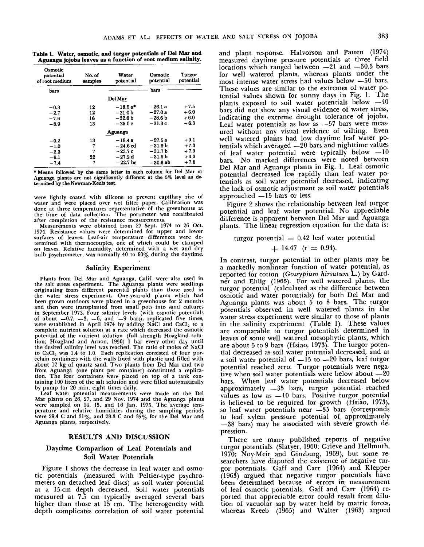**Table** 1. Water, osmotic, **and turgor potentials of Del Mar and Aguanga jojoba leaves** as a **function of root** medium salinity.

| Osmotic<br>potential<br>of root medium | No. of<br>samples | Water<br>potential | Osmotic<br>potential | Turgor<br>potential |
|----------------------------------------|-------------------|--------------------|----------------------|---------------------|
| bars                                   |                   |                    | bars                 |                     |
|                                        |                   | Del Mar            |                      |                     |
| $-0.3$                                 | 12                | $-18.6a*$          | $-26.1a$             | $+7.5$              |
| $-2.7$                                 | 12                | $-21.0b$           | $-27.0a$             | $+6.0$              |
| $-7.6$                                 | 16                | $-22.6b$           | $-28.6b$             | $+6.0$              |
| $-8.9$                                 | 13                | $-25.0c$           | $-31.3c$             | $+6.3$              |
|                                        |                   | Aguanga            |                      |                     |
| $-0.2$                                 | 13                | $-18.4a$           | $-27.5a$             | $+9.1$              |
| $-1.0$                                 | 7                 | $-24.6$ cd         | –31.9 b              | $+7.3$              |
| $-2.3$                                 | 7                 | $-23.7c$           | $-31.7b$             | $+7.9$              |
| $-6.1$                                 | 22                | $-27.2d$           | – 31.5 b             | $+4.3$              |
| $-7.4$                                 | 7                 | $-22.7$ bc         | $-30.6$ ab           | $+7.8$              |

\* Means followed by the same letter in each column for Del **Mar or** Aguanga plants are not significantly different at the 5% level as determined by the Newman-Keuls test.

were lightly coated with silicone to prevent capillary rise of water and were placed over wet filter paper. Calibration was done at three temperatures representative of the greenhouse a the time of data collection. The porometer was recalibra after completion of the resistance measurements.

Measurements were obtained from 27 Sept. 1974 to 26 Oct. 1974. Resistance values were determined for upper and lower surfaces of leaves. Leaf-air temperature differences were determined with thermocouples, one of which could be clamped on leaves. Relative humidity, determined with a wet and dry bulb psychrometer, was normally 40 to  $60\%$  during the daytime

#### Salinity Experiment

Plants from Del Mar and Aguanga, Calif. were also used in the salt stress experiment. The Aguanga plants were seedling originating from different parental plants than those used in the water stress experiment. One-year-old plants which had been grown outdoors were placed in a greenhouse for 2 months and then were transplanted from small pots into sand cultur in September 1973. Four salinity levels (with osmotic potentia of about -0.7, -3, -5, and -9 bars), replicated five times<br>were established in April 1974 by adding NaCl and CaCl<sub>2</sub> to a complete nutrient solution at a rate which decreased the osmotic potential of the nutrient solution (full strength Hoagland solution; Hoagland and Arnon, 1950) 1 bar every other day until the desired salinity level was reached. The ratio of moles of NaCI to CaCl<u>.</u> was 1.4 to 1.0. Each replication consisted of four por celain containers with the walls lined with plastic and filled with about 12 kg of quartz sand. Two plants from Del Mar and two from Aguanga (one plant per container) constituted a replica<br>tion. The four containers were placed on top of a tank con taining 100 liters of the salt solution and were filled automatically by pump for 20 min, eight times dail

Leaf water potential measurements were made on the Del **Mar** plants on 26, 27, and 29 Nov. 1974 and the Aguanga plants were sampled on 14, 15, and 16 Jan. 1975. The average temperature and relative humidities during the sampling periods were 29.4 C and 31%, and 28.3 C and 35% for the Del Mar and Aguanga plants, respectively.

#### **RESULTS AND DISCUSSION**

# **Daytime Comparison of Leaf Potentials and Soil Water Potentials**

Figure 1 shows the decrease in leaf water and osmotic potentials (measured with Peltier-type psychrometers on detached leaf discs) as soil water potential at a 15-cm depth decreased. Soil water potentials measured at 7.5 cm typically averaged several bars higher than those at 15 cm. The heterogeneity with depth complicates correlation of soil water potential

and plant response. Halvorson and Patten (1974) measured daytime pressure potentials at three field locations which ranged between  $-21$  and  $-30.5$  bars for well watered plants, whereas plants under the most intense water stress had values below -- 50 bars. These values are similar to the extremes of water potential values shown for sunny days in Fig. 1. The plants exposed to soil water potentials below  $-40$ bars did not show any visual evidence of water stress, indicating the extreme drought tolerance of jojoba. Leaf water potentials as low as  $-57$  bars were measured without any visual evidence of wilting. Even well watered plants had low daytime leaf water potentials which averaged --20 bars and nighttime values of leaf water potential were typically below  $-10$ bars. No marked differences were noted between Del Mar and Aguanga plants in Fig. 1. Leaf osmotic potential decreased less rapidly than leaf water potentials as soil water potential decreased, indicating the lack of osmotic adjustment as soil water potentials approached  $-15$  bars or less.

Figure 2 shows the relationship between leaf turgor potential and leaf water potential. No appreciable difference is apparent between Del Mar and Aguanga plants. The linear regression equation for the data is:

turgor potential  $= 0.42$  leaf water potential

$$
+ 14.47 \text{ (r} = 0.94).
$$

In contrast, turgor potential in other plants may be a markedly nonlinear function of water potential, as reported for cotton *(Gossypium hirsutum* L.) by Gardner and Ehlig (1965). For well watered plants, the turgor potential (calculated as the difference between osmotic and water potentials) for both Del Mar and Aguanga plants was about 5 to 8 bars. The turgor potentials observed in well watered plants in the water stress experiment were similar to those of plants in the salinity experiment (Table 1). These values are comparable to turgor potentials determined in leaves of some well watered mesophytic plants, which are about 5 to 9 bars (Hsiao, 1973). The turgor potential decreased as soil water potential decreased, and at a soil water potential of  $-15$  to  $-20$  bars, leaf turgor potential reached zero. Turgor potentials were negative when soil water potentials were below about  $-\bar{2}0$ bars. When leaf water potentials decreased below approximately  $-35$  bars, turgor potential reached values as low as  $-10$  bars. Positive turgor potential is believed to be required for growth (Hsiao, 1973), so leaf water potentials near -35 bars (corresponds to leaf xylem pressure potential of. approximately --38 bars) may be associated with severe growth depression.

There are many published reports of negative turgor potentials (Slatyer, 1960; Grieve and Hellmuth, 1970; Noy-Meir and Ginzburg., 1969), but some researchers have disputed the existence of negative turgor potentials. Gaff and Carr (1964) and Klepper  $(1963)$  argued that negative turgor potentials have been determined because of errors in measurement of leaf osmotic potentials. Gaff and Carr (1964) reported that appreciable error could result from dilution of vacuolar sap by water held by matric force whereas Kreeb (1965) and Walter (1963) argue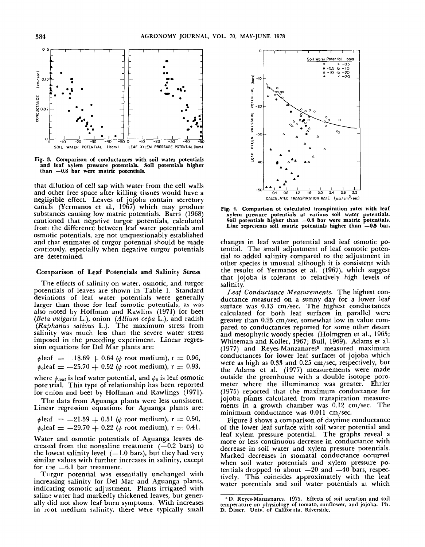

Fig. 3. **Comparison of conductances with soil water potentials and** leaf xylem **pressure potentials. Soil potentials** higher than -0.8 bar were matric potentials.

that dilution of cell sap with water from the cell walls and other free space after killing tissues would have a negligible effect. Leaves of jojoba contain secretory canals (Yermanos et al., 1967) which may produce substances causing low matric potentials. Barrs (1968) cautioned that negative turgor potentials, calculated front the difference between leaf water potentials and osmotic potentials, are not unquestionably established and that estimates of turgor potential should be made cautiously, especially when negative turgor potentials are determined.

# Coraparison of Leaf Potentials and Salinity **Stress**

The effects of salinity on water, osmotic, and turgor potentials of leaves are shown in Table 1. Standard deviations of leaf water potentials were generally larger than those for leaf osmotic potentials, as was also noted, by Hoffman and Rawlins (1971) for beet *(Beta vulgaris* L.), onion *(Allium cepa* L.), and radish *(Raphanus sativus* L.). The maximum stress from salinity was much less than the severe water stress imposed in the preceding experiment. Linear regression equations for Del Mar plants are:

 $\psi$ leaf  $= -18.69 + 0.64$  ( $\psi$  root medium), r = 0.96,  $\psi_0$ leaf  $=$  -25.70 + 0.52 ( $\psi$  root medium), r  $=$  0.93,

where  $\psi_{\text{leaf}}$  is leaf water potential, and  $\psi_{\text{o}}$  is leaf osmotic potential. This type of relationship has been reported for onion and beet by Hoffman and Rawlings (1971).

The data from Aguanga plants were less consistent. Linear regression equations for Aguanga plants are:

 $\psi$ leaf = -21.59 + 0.51 ( $\psi$  root medium), r = 0.50,  $\psi_0$ leaf = -29.70 + 0.22 ( $\psi$  root medium), r = 0.41.

Water and osmotic potentials of Aguanga leaves decreased from the nonsaline treatment  $(-0.2 \text{ bars})$  to the lowest salinity level  $(-1.0$  bars), but they had very similar values with further increases in salinity, except for the  $-6.1$  bar treatment.

Turgot potential was essentially unchanged with increasing salinity for Del Mar and Aguanga plant indicating osmotic adjustment. Plants irrigated with saline water had markedly thickened leaves, but generally did not show leaf burn symptoms. With increases in root medium salinity, there were typically small



Fig. 4, Comparison of calculated **transpiration rates with** leaf xylem pressure **potentials at various soil water potentials.** Soil potentials higher than **-0.8** bar were matric potential Line represents soil matric potentials higher than -0.5 bar.

changes in leaf water potential and leaf osmotic potential. The small adjustment of leaf osmotic potential to added salinity compared to the adjustment in other species is unusual although it is consistent with the results of Yermanos et al.  $(1967)$ , which suggest that jojoba is tolerant to relatively high levels of salinity.

*Lea[ Conductance Measurements.* The highest conductance measured on a sunny day for a lower leaf surface was 0.13 cm/sec. The highest conductance calculated for both leaf surfaces in parallel were greater than 0.25 cm/sec, somewhat low in value compared to conductances reported for some other desert and mesophytic woody species (Holmgren et al., 1965; Whiteman and Koller, 1967; Bull, 1969). Adams et al.  $(1977)$  and Reyes-Manzanares<sup>3</sup> measured maximum conductances for lower leaf surfaces of jojoba which were as high as  $0.33$  and  $0.25$  cm/sec, respectively, but the Adams et al. (1977) measurements were made outside the greenhouse with a double isotope porometer where the illuminance was greater. Ehrler (1975) reported that the maximum conductance for jojoba plants calculated from transpiration measurements in a growth chamber was  $0.12 \text{ cm/sec}$ . The minimum conductance was 0.011 cm/sec.

Figure 3 shows a comparison of daytime conductance of the lower leaf surface with soil water potential and leaf xylem pressure potential. The graphs reveal a more or less continuous decrease in conductance with decrease in soil water and xylem pressure potentials. Marked decreases in stomatal conductance occurred when soil water potentials and xylem pressure potentials dropped to about  $-20$  and  $-40$  bars, respectively. This coincides approximately with the leaf water potentials and soil water potentials at which

<sup>\*</sup>D. Reyes-Manzanares. 1975. Effects of soil aeration and soil temperature on physiology of tomato, sunflower, and jojoba. Ph. D. Disser. Univ. of California, Riverside.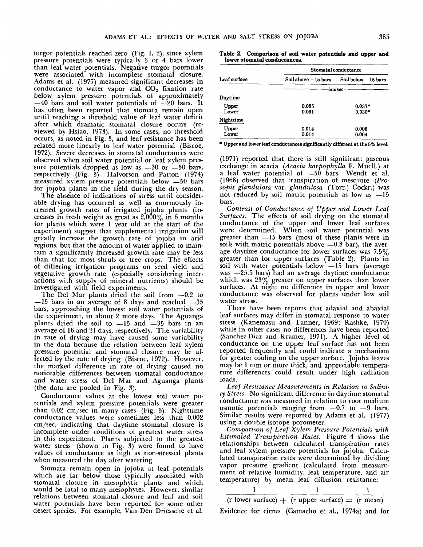turgor potentials reached zero (Fig. 1, 2), since xylem pressure potentials were typically 3 or 4 bars lower than leaf water potentials. Negative turgor potentials were associated with incomplete stomatal closure. Adams et al. (1977) measured significant decreases conductance to water vapor and  $CO<sub>2</sub>$  fixation rate below xylem pressure potentials of approximately  $-40$  bars and soil water potentials of  $-20$  bars. It has often been reported that stomata remain open until reaching a threshold value of leaf water deficit after which dramatic stomatal closure occurs (reviewed by Hsiao, 1973). In some cases, no threshold occurs, as noted in Fig. 3, and leaf resistance has been related more linearly to leaf water potential (Biscoe, 1972). Severe decreases in stomatal conductances were observed when soil water potential or leaf xylem pressure potentials dropped as low as  $-30$  or  $-50$  bars, respectively (Fig. 3). Halvorson and Patton (1974) measured xylem pressure potentials below  $-50$  bars for jojoba plants in the field during the dry season.

The absence of indications of stress until considerable drying has occurred as well as enormously increased.growth rates of irrigated jojoba plants (increases in fresh weight as great as  $2,000\%$  in 6 months for plants which were 1 year old at the start of the experiment) suggest that supplemental irrigation will greatly increase the growth rate of jojoba in arid regions, but that the amount of water applied to maintain a significantly increased growth rate may be less than that for most shrub or tree crops. The effects of differing irrigation programs on seed yield and vegetative growth rate (especially considering interactions with supply of mineral nutrients) should be investigated with field experiments.

The Del Mar plants dried the soil from  $-0.2$  to  $-15$  bars in an average of 8 days and reached  $-35$ bars, approaching the lowest soil water potentials of the experiment, in about 2 more days. The Aguanga plants dried the soil to  $-15$  and  $-35$  bars in an average of 16 and 21 days, respectively. The variability in rate of drying may have caused some variability in the data because the relation between leaf xylem pressure potential and stomatal closure may be affected by the rate of drying (Biscoe, 1972). However, the marked difference in rate of drying caused no noticeable differences between stomatal conductance and water stress of Del Mar and Aguanga plants (the data are pooled in Fig. 3).

Conductance values at the lowest soil water potentials and xylem pressure potentials were greater than  $0.02 \, \text{cm/sec}$  in many cases (Fig. 3). Nighttime conductance values were sometimes less than 0.002 cm/sec, indicating that daytime stomatal closure is incomplete under conditions of greatest water stress in this experiment. Plants subjected to the greatest water stress (shown in Fig. 3) were found to have values of conductance as high as non-stressed plants when measured the day after watering.

Stomata remain open in jojoba at leaf potentials which are far below those typically associated with stomatal closure in mesophytic plants and which would be fatal to many mesophytes. However, similar relations between stomatal closure and leaf and soil water potentials have been reported for some other desert species. For example, Van Den Driessche et al.

**Table 2. Comparison of soil water potentials and upper and lower stomatal conduetances.**

|              | Stomatal conductance |                       |  |  |
|--------------|----------------------|-----------------------|--|--|
| Leaf surface | Soil above -15 bars  | Soil below $-15$ bars |  |  |
|              | cm/sec               |                       |  |  |
| Daytime      |                      |                       |  |  |
| Upper        | 0.085                | $0.037*$              |  |  |
| Lower        | 0.091                | $0.030*$              |  |  |
| Nighttime    |                      |                       |  |  |
| Upper        | 0.014                | 0.005                 |  |  |
| Lower        | 0.014                | 0.004                 |  |  |

\* Upper and lower leaf conductances significantly different at the 5% level.

(1971) reported that there is still significant gaseous exchange in acacia *(Acacia harpophylla* F. Muell.) at a leaf water potential of  $-50$  bars. Wendt et al. (1968) observed that transpiration of mesquite *(Prosopis glandulosa* var. *glandulosa* (Torr.) Cockr.) not reduced by soil matric potentials as low as  $-15$ bars.

*Contrast of Conductance of Upper and Lower Leaf Surfaces.* The effects of soil drying on the stomatal conductance of the upper and lower leaf surfaces were determined. When soil water potential was greater than -15 bars (most of these plants were in soils with matric potentials above  $-0.8$  bar), the average daytime conductance for lower surfaces was  $7.5\%$ greater than for upper surfaces (Table 2). Plants soil with water potentials below —15 bars (average was --25.5 bars) had an average daytime conductance which was  $23\%$  greater on upper surfaces than lower surfaces. At night no difference in upper and lower conductance was observed for plants under low soil water stress.

There have been reports that adaxial and abaxial leaf surfaces may differ in stomatal response to water stress (Kanemasu and Tanner, 1969; Rashke, 1970) while in other cases no differences have been reported (Sanchez-Diaz and Kramer, 1971). A higher level conductance on the upper leaf surface has not been reported frequently and could indicate a mechanism for greater cooling on the upper surface. Jojoba leaves may be 1 mm or more thick, and appreciable temperature differences could result under high radiation loads.

Leaf Resistance Measurements in Relation to Salini*ty Stress.* No significant difference in daytime stomatal conductance was measured in relation to root medium osmotic potentials ranging from  $-0.7$  to  $-9$  bars. Similar results were reported by Adams et al. (1977) using a double isotope porometer.

*Comparison of Leaf Xylem Pressure Potentials with Estimated Transpiration Rates.* Figure 4 shows the relationships between calculated transpiration rates and leaf xylem pressure potentials for jojoba. Calculated transpiration rates were determined by dividing vapor pressure gradient (calculated from measurement of relative humidity, leaf temperature, and air temperature) by mean leaf diffusion resistance:

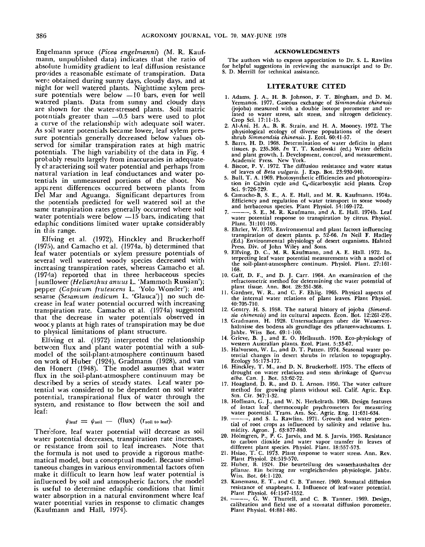Engelmarm spruce *(Picea engelmanni)* (M. R. Kaufmann, unpublished data) indicates that the ratio of absolute humidity gradient to leaf diffusion resistance provides a reasonable estimate of transpiration. Data wen; obtained during sunny days, cloudy days, and at night for well watered plants. Nighttime xylem pressure potentials were below  $-10$  bars, even for well watered plants. Data from sunny and cloudy days are shown for the water-stressed plants. Soil matric potentials greater than —0.5 bars were used to plot a curve of the relationship with adequate soil water. As soil water potentials became lower, leaf xylem pressure potentials generally decreased below values observed for similar transpiration rates at high matric potentials. The high variability of the data in Fig. 4 probably results largely from inaccuracies in adequately characterizing soil water potential and perhaps from natural variation in leaf conductances and water potentials in unmeasured portions of the shoot. No apparent differences occurred between plants from Del Mar and Aguanga. Significant departures from the potentials predicted for well watered soil at the same transpiration rates generally occurred where soil water potentials were below —15 bars, indicating that edaphic conditions limited water uptake considerably in this range.

Elfving et al. (1972), Hinckley and Bruckerhoff (1975), and Camacho et al. (1974a, b) determined that leaf water potentials or xylem pressure potentials of several well watered woody species decreased with increasing transpiration rates, whereas Camacho et al. (1974a) reported that in three herbaceous species [sunflower *(Helianthus anuus* L. 'Mammoth Russian'); pepper *(Capsicum frutescens* L. 'Yolo Wonder'); and sesame *(Sesamum indicum* L. 'Glauca')] no such decrease in leaf water potential occurred with increasing transpiration rate. Camacho et al. (1974a) suggested that the decrease in water potentials observed in wooc.y plants at high rates of transpiration may be due to physical limitations of plant structure.

Elfving et al. (1972) interpreted the relationship between flux and plant water potential with a submodel of the soil-plant-atmosphere continuum based on work of Huber (1924), Gradmann (1928), and van den Honert (1948). The model assumes that water flux in the soil-plant-atmosphere continuum may be described by a series of steady states. Leaf water potential was considered to be dependent on soil water potential, transpirational flux of water through the system, and resistance to flow between the soil and leaf:

# $\psi_{\text{leaf}} = \psi_{\text{soil}} - (\text{flux})$  ( $r_{\text{soil to leaf}}$ ).

Therefore, leaf water potential will decrease as soil water potential decreases, transpiration rate increases, or resistance from soil to leaf increases. Note that the formula is not used to provide a rigorous mathematical model, but a conceptual model. Because simultaneous changes in various environmental factors often make it difficult to learn how leaf water potential is influenced by soil and atmospheric factors, the model is useful to determine edaphic conditions that limit water absorption in a natural environment where leaf water potential varies in response to climatic changes (Kaufmann and Hall, 1974).

#### **ACKNOWLEDGMENTS**

The authors wish to express appreciation to Dr. S. L. Rawlins for helpful suggestions in reviewing the manuscript and to Dr. S. D. Merrill for technical assistance.

## LITERATURE CITED

- 1. Adams, J. A., H. B. Johnson, F. T. Bingham, and D. M. Yermanos. 1977. Gaseous exchange of Simmondsia chinensis (jojoba) measured with a double isotope porometer and related to water stress, salt stress, and nitrogen deficiency.<br>Crop Sci. 17:11-15.
- 2. Al-Ani, H. A., B. R. Strain, and H. A. Mooney. 1972. The physiological ecology of diverse populations of the desert<br>shrub Simmondsia chinensis. J. Ecol. 60:41-57.
- 3. Barrs, H. D. 1968. Determination of water deficits in plant tissues. p. 235-368. In T. T. Kozlowski (ed.) Water deficits and plant growth. I. Development, control, and measurement. Academic Press. New York.<br>4. Biscoe, P. V. 1972. The diffusion resistance and water status
- of leaves of *Beta vulgaris.* J. Exp. Bot. 23:930-940.<br>5. Bull, T. A. 1969. Photosynthetic efficiencies and photorespira-
- tion in Calvin cycle and C<sub>c</sub>-dicarboxylic acid plants. Crop Sci. 9:726-729.
- Camacho-B, S. E., A. E. Hall, and M. R. Kaufmann. 1974a. Efficiency and regulation of water transport in some woody and herbaceous species. Plant Physiol. 54:169-172.
- S. E., M. R. Kaufmann, and A. E. Hall. 1974b. Leaf  $7<sub>1</sub>$ water potential response to transpiration by citrus. Physiol. Plant. 31:101-105
- 8. Ehrler, W. 1975. Environmental and plant factors influencing transpiration of desert plants. p. 52-66. In Neil F. Hadley (Ed.) Environmental physiology of desert organisms. Halsted<br>Press, Div. of John Wiley and Sons.
- 9. Elfving, D. C., M. R. Kaufmann, and A. E. Hall. 1972. In-<br>terpreting leaf water potential measurements with a model of the soil-plant-atmosphere continum. Physiol. Plant. 27:161-168.
- 10. Gaff, D. F., and D. J. Carr. 1964. An examination of the refractometric method for determining the water potential of plant tissue. Ann. Bot. 28:351-368.
- 11. Gardner, W. R., and C. F. Ehlig. 1965. Physical aspects of the internal water relations of plant leaves. Plant Physiol. 40:705-710.
- 12. Gentry, H. S. 1958. The natural history of jojoba (Simondsia chinensis) and its cultural aspects. Econ. Bot. 12:261-295.
- 13. Gradmann, H. 1928. Untersuchungen uber die Wasserverhaltnisse des bodens als grundlage des pflanzenwachstums. I. Jahbr. Wiss Bot. 69:1-100.
- 14. Grieve, B. J., and E. O. Hellmuth. 1970. Eco-physiology of<br>western Australian plants. Ecol. Plant. 5:33-67.<br>15. Halvorson, W. L., and D. T. Patten. 1974. Seasonal water po-
- tential changes in desert shrubs in relation to topography. Ecology 55:173-177.
- 16. Hinckley, T. M., and D. N. Bruckerhoff. 1975. The effects of drought on water relations and stem shrinkage of Quercus alba. Can. J. Bot. 53:62-72.
- 17. Hoagland, D. R., and D. I. Arnon. 1950. The water culture method for growing plants without soil. Calif. Agric. Exp.<br>Stn. Cir. 347:1-32.
- 9.1. On. 3.1. The M. N. Herkelrath. 1968. Design features<br>of intact leaf thermocouple psychrometers for measuring<br>water potential. Trans. Am. Soc. Agric. Eng. 11:631-634.<br>19.  $\frac{1}{2}$ , and S. L. Rawlins. 1971. Growth and
- tial of root crops as influenced by salinity and relative hu-
- midity. Agron. J. 63:877-880.<br>20. Holmgren, P., P. G. Jarvis, and M. S. Jarvis. 1965. Resistance<br>20. Holmgren, P., P. G. Jarvis, and M. S. Jarvis. 1965. Resistance<br>to carbon dioxide and water vapor transfer in leaves of<br>di
- 
- 22. Huber, B. 1924. Die beurteilung des wasserhaushaltes der pflanze. Ein beitrag zur vergleichenden physiologie. Jahbr. Wiss. Bot. 64:1-120.
- 23. Kanemasu, E. T., and C. B. Tanner. 1969. Stomatal diffusion resistance of snapbeans. I. Influence of leaf-water potential. Plant Physiol. 44:1547-1552.<br>Plant Physiol. 44:1547-1552.<br>------, G. W. Thurtell, and C. B. Tanner. 1969. Design,
- $24.$ calibration and field use of a stomatal diffusion porometer. Plant Physiol. 44:881-885.